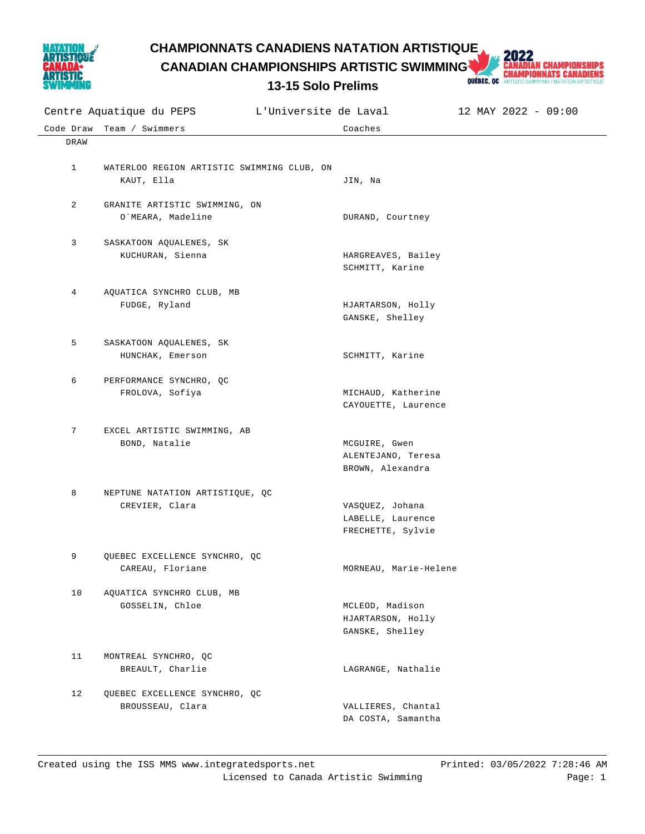

**CHAMPIONNATS CANADIENS NATATION ARTISTIQUE<br>
CANADIAN CHAMPIONSHIPS ARTISTIC SWIMMING AND CHAMPIONNATS CANADIENS<br>
13-15 Solo Prelims Queens and Championnats Canadiens** 

**CANADIAN CHAMPIONSHIPS ARTISTIC SWIMMING** 



|              | L'Universite de Laval<br>Centre Aquatique du PEPS |                                           | 12 MAY 2022 - 09:00 |
|--------------|---------------------------------------------------|-------------------------------------------|---------------------|
| Code Draw    | Team / Swimmers                                   | Coaches                                   |                     |
| DRAW         |                                                   |                                           |                     |
|              |                                                   |                                           |                     |
| $\mathbf{1}$ | WATERLOO REGION ARTISTIC SWIMMING CLUB, ON        |                                           |                     |
|              | KAUT, Ella                                        | JIN, Na                                   |                     |
| 2            | GRANITE ARTISTIC SWIMMING, ON                     |                                           |                     |
|              | O`MEARA, Madeline                                 | DURAND, Courtney                          |                     |
|              |                                                   |                                           |                     |
| 3            | SASKATOON AQUALENES, SK                           |                                           |                     |
|              | KUCHURAN, Sienna                                  | HARGREAVES, Bailey                        |                     |
|              |                                                   | SCHMITT, Karine                           |                     |
| 4            |                                                   |                                           |                     |
|              | AQUATICA SYNCHRO CLUB, MB<br>FUDGE, Ryland        | HJARTARSON, Holly                         |                     |
|              |                                                   | GANSKE, Shelley                           |                     |
|              |                                                   |                                           |                     |
| 5            | SASKATOON AQUALENES, SK                           |                                           |                     |
|              | HUNCHAK, Emerson                                  | SCHMITT, Karine                           |                     |
|              |                                                   |                                           |                     |
| 6            | PERFORMANCE SYNCHRO, QC                           |                                           |                     |
|              | FROLOVA, Sofiya                                   | MICHAUD, Katherine<br>CAYOUETTE, Laurence |                     |
|              |                                                   |                                           |                     |
| 7            | EXCEL ARTISTIC SWIMMING, AB                       |                                           |                     |
|              | BOND, Natalie                                     | MCGUIRE, Gwen                             |                     |
|              |                                                   | ALENTEJANO, Teresa                        |                     |
|              |                                                   | BROWN, Alexandra                          |                     |
|              |                                                   |                                           |                     |
| 8            | NEPTUNE NATATION ARTISTIQUE, QC<br>CREVIER, Clara | VASQUEZ, Johana                           |                     |
|              |                                                   | LABELLE, Laurence                         |                     |
|              |                                                   | FRECHETTE, Sylvie                         |                     |
|              |                                                   |                                           |                     |
| 9            | QUEBEC EXCELLENCE SYNCHRO, QC                     |                                           |                     |
|              | CAREAU, Floriane                                  | MORNEAU, Marie-Helene                     |                     |
|              |                                                   |                                           |                     |
| 10           | AQUATICA SYNCHRO CLUB, MB<br>GOSSELIN, Chloe      | MCLEOD, Madison                           |                     |
|              |                                                   | HJARTARSON, Holly                         |                     |
|              |                                                   | GANSKE, Shelley                           |                     |
|              |                                                   |                                           |                     |
| 11           | MONTREAL SYNCHRO, QC                              |                                           |                     |
|              | BREAULT, Charlie                                  | LAGRANGE, Nathalie                        |                     |
|              |                                                   |                                           |                     |
| 12           | QUEBEC EXCELLENCE SYNCHRO, QC<br>BROUSSEAU, Clara | VALLIERES, Chantal                        |                     |
|              |                                                   | DA COSTA, Samantha                        |                     |
|              |                                                   |                                           |                     |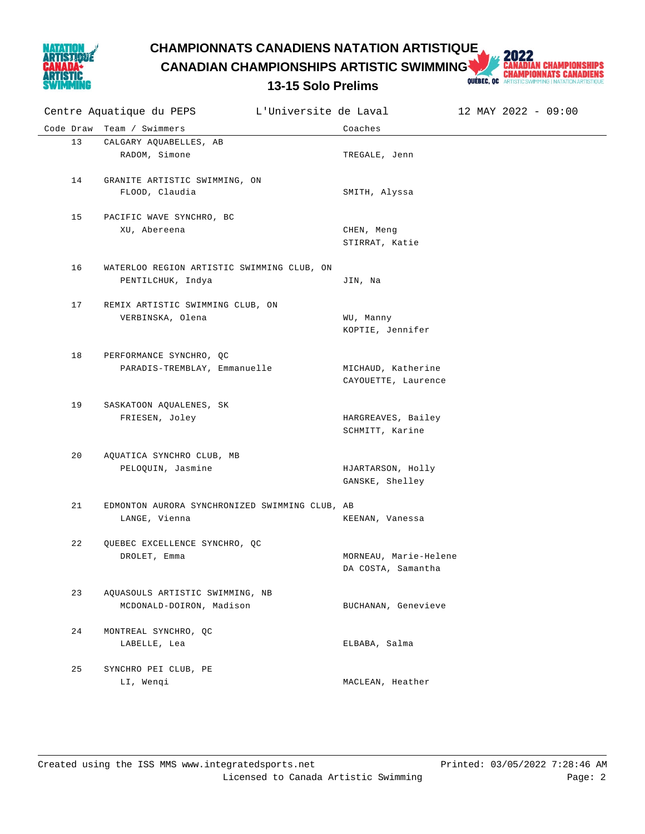

## **CHAMPIONNATS CANADIENS NATATION ARTISTIQUE<br>
CANADIAN CHAMPIONSHIPS ARTISTIC SWIMMING AND CHAMPIONNATS CANADIENS<br>
13-15 Solo Prelims Queens and Championnats Canadiens**

**CANADIAN CHAMPIONSHIPS ARTISTIC SWIMMING** 



|           | Centre Aquatique du PEPS                                        | L'Universite de Laval                       | 12 MAY 2022 - 09:00 |
|-----------|-----------------------------------------------------------------|---------------------------------------------|---------------------|
| Code Draw | Team / Swimmers                                                 | Coaches                                     |                     |
| 13        | CALGARY AQUABELLES, AB<br>RADOM, Simone                         | TREGALE, Jenn                               |                     |
| 14        | GRANITE ARTISTIC SWIMMING, ON<br>FLOOD, Claudia                 | SMITH, Alyssa                               |                     |
| 15        | PACIFIC WAVE SYNCHRO, BC<br>XU, Abereena                        | CHEN, Meng<br>STIRRAT, Katie                |                     |
| 16        | WATERLOO REGION ARTISTIC SWIMMING CLUB, ON<br>PENTILCHUK, Indya | JIN, Na                                     |                     |
| 17        | REMIX ARTISTIC SWIMMING CLUB, ON<br>VERBINSKA, Olena            | WU, Manny<br>KOPTIE, Jennifer               |                     |
| 18        | PERFORMANCE SYNCHRO, QC<br>PARADIS-TREMBLAY, Emmanuelle         | MICHAUD, Katherine<br>CAYOUETTE, Laurence   |                     |
| 19        | SASKATOON AQUALENES, SK<br>FRIESEN, Joley                       | HARGREAVES, Bailey<br>SCHMITT, Karine       |                     |
| 20        | AQUATICA SYNCHRO CLUB, MB<br>PELOQUIN, Jasmine                  | HJARTARSON, Holly<br>GANSKE, Shelley        |                     |
| 21        | EDMONTON AURORA SYNCHRONIZED SWIMMING CLUB, AB<br>LANGE, Vienna | KEENAN, Vanessa                             |                     |
| 22        | QUEBEC EXCELLENCE SYNCHRO, QC<br>DROLET, Emma                   | MORNEAU, Marie-Helene<br>DA COSTA, Samantha |                     |
| 23        | AQUASOULS ARTISTIC SWIMMING, NB<br>MCDONALD-DOIRON, Madison     | BUCHANAN, Genevieve                         |                     |
| 24        | MONTREAL SYNCHRO, QC<br>LABELLE, Lea                            | ELBABA, Salma                               |                     |
| 25        | SYNCHRO PEI CLUB, PE<br>LI, Wenqi                               | MACLEAN, Heather                            |                     |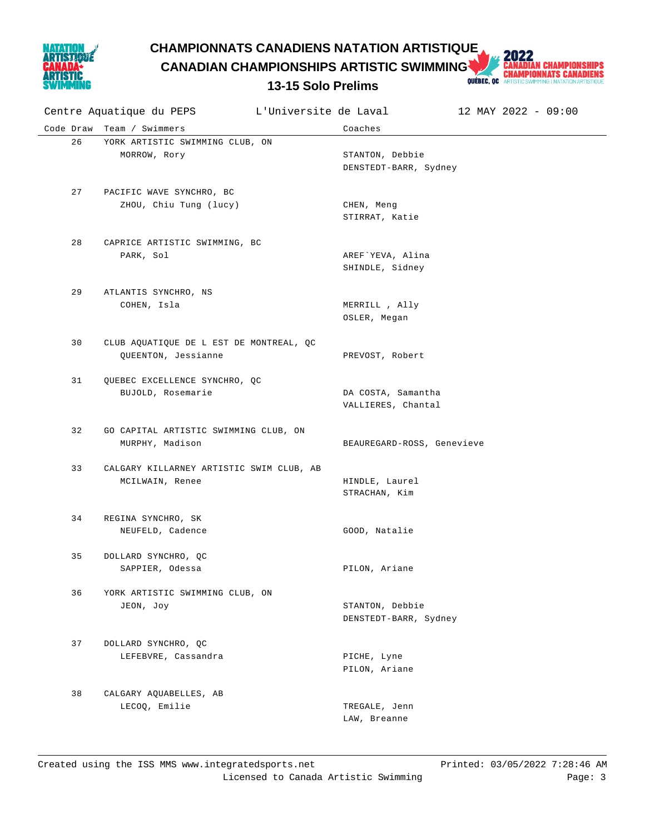

**CHAMPIONNATS CANADIENS NATATION ARTISTIQUE<br>
CANADIAN CHAMPIONSHIPS ARTISTIC SWIMMING AND CHAMPIONNATS CANADIENS<br>
13-15 Solo Prelims Queens and Championnats Canadiens CANADIAN CHAMPIONSHIPS ARTISTIC SWIMMING** 



| Centre Aquatique du PEPS |                                                    | L'Universite de Laval          | 12 MAY 2022 - 09:00 |  |  |
|--------------------------|----------------------------------------------------|--------------------------------|---------------------|--|--|
|                          | Code Draw Team / Swimmers                          | Coaches                        |                     |  |  |
| 26                       | YORK ARTISTIC SWIMMING CLUB, ON                    |                                |                     |  |  |
|                          | MORROW, Rory                                       | STANTON, Debbie                |                     |  |  |
|                          |                                                    | DENSTEDT-BARR, Sydney          |                     |  |  |
|                          |                                                    |                                |                     |  |  |
| 27                       | PACIFIC WAVE SYNCHRO, BC<br>ZHOU, Chiu Tung (lucy) | CHEN, Meng                     |                     |  |  |
|                          |                                                    | STIRRAT, Katie                 |                     |  |  |
|                          |                                                    |                                |                     |  |  |
| 28                       | CAPRICE ARTISTIC SWIMMING, BC                      |                                |                     |  |  |
|                          | PARK, Sol                                          | AREF`YEVA, Alina               |                     |  |  |
|                          |                                                    | SHINDLE, Sidney                |                     |  |  |
|                          |                                                    |                                |                     |  |  |
| 29                       | ATLANTIS SYNCHRO, NS                               |                                |                     |  |  |
|                          | COHEN, Isla                                        | MERRILL , Ally<br>OSLER, Megan |                     |  |  |
|                          |                                                    |                                |                     |  |  |
| 30                       | CLUB AQUATIQUE DE L EST DE MONTREAL, QC            |                                |                     |  |  |
|                          | QUEENTON, Jessianne                                | PREVOST, Robert                |                     |  |  |
|                          |                                                    |                                |                     |  |  |
| 31                       | QUEBEC EXCELLENCE SYNCHRO, QC                      |                                |                     |  |  |
|                          | BUJOLD, Rosemarie                                  | DA COSTA, Samantha             |                     |  |  |
|                          |                                                    | VALLIERES, Chantal             |                     |  |  |
| 32                       | GO CAPITAL ARTISTIC SWIMMING CLUB, ON              |                                |                     |  |  |
|                          | MURPHY, Madison                                    | BEAUREGARD-ROSS, Genevieve     |                     |  |  |
|                          |                                                    |                                |                     |  |  |
| 33                       | CALGARY KILLARNEY ARTISTIC SWIM CLUB, AB           |                                |                     |  |  |
|                          | MCILWAIN, Renee                                    | HINDLE, Laurel                 |                     |  |  |
|                          |                                                    | STRACHAN, Kim                  |                     |  |  |
| 34                       |                                                    |                                |                     |  |  |
|                          | REGINA SYNCHRO, SK<br>NEUFELD, Cadence             | GOOD, Natalie                  |                     |  |  |
|                          |                                                    |                                |                     |  |  |
| 35                       | DOLLARD SYNCHRO, QC                                |                                |                     |  |  |
|                          | SAPPIER, Odessa                                    | PILON, Ariane                  |                     |  |  |
|                          |                                                    |                                |                     |  |  |
| 36                       | YORK ARTISTIC SWIMMING CLUB, ON                    |                                |                     |  |  |
|                          | JEON, Joy                                          | STANTON, Debbie                |                     |  |  |
|                          |                                                    | DENSTEDT-BARR, Sydney          |                     |  |  |
| 37                       | DOLLARD SYNCHRO, QC                                |                                |                     |  |  |
|                          | LEFEBVRE, Cassandra                                | PICHE, Lyne                    |                     |  |  |
|                          |                                                    | PILON, Ariane                  |                     |  |  |
|                          |                                                    |                                |                     |  |  |
| 38                       | CALGARY AQUABELLES, AB                             |                                |                     |  |  |
|                          | LECOQ, Emilie                                      | TREGALE, Jenn                  |                     |  |  |
|                          |                                                    | LAW, Breanne                   |                     |  |  |